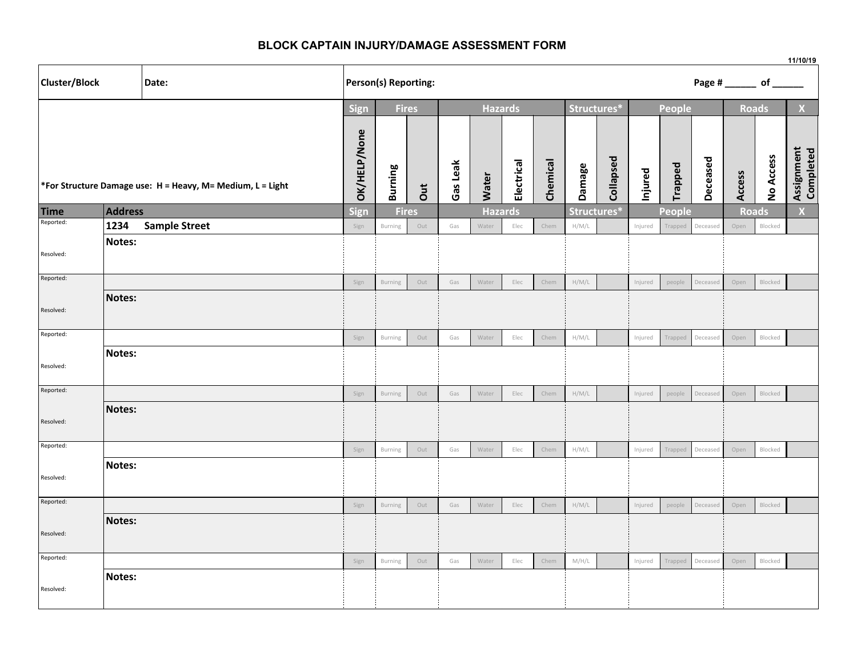## **BLOCK CAPTAIN INJURY/DAMAGE ASSESSMENT FORM**

|                                                            |         |                      |                                        |                      |              |          |                |            |             |             |           |         |                         | 11/10/19     |        |              |                         |  |
|------------------------------------------------------------|---------|----------------------|----------------------------------------|----------------------|--------------|----------|----------------|------------|-------------|-------------|-----------|---------|-------------------------|--------------|--------|--------------|-------------------------|--|
| Cluster/Block<br>Date:                                     |         |                      |                                        | Person(s) Reporting: |              |          |                |            |             |             |           |         | Page # ________ of ____ |              |        |              |                         |  |
|                                                            |         |                      | Sign<br><b>Fires</b><br><b>Hazards</b> |                      |              |          |                |            | Structures* |             |           | People  |                         | <b>Roads</b> |        | $\mathbf{X}$ |                         |  |
| *For Structure Damage use: H = Heavy, M= Medium, L = Light |         |                      | OK/HELP/None                           | <b>Burning</b>       | Jut          | Gas Leak | Water          | Electrical | Chemical    | Damage      | Collapsed | Injured | Trapped                 | Deceased     | Access | No Access    | Assignment<br>Completed |  |
| <b>Time</b><br>Reported:                                   | Address |                      | Sign                                   |                      | <b>Fires</b> |          | <b>Hazards</b> |            |             | Structures* |           |         | People                  |              |        | <b>Roads</b> | X                       |  |
|                                                            | 1234    | <b>Sample Street</b> | Sign                                   | Burning              | Out          | Gas      | Water          | Elec       | Chem        | H/M/L       |           | Injured | Trapped                 | Deceased     | Open   | Blocked      |                         |  |
| Resolved:                                                  | Notes:  |                      |                                        |                      |              |          |                |            |             |             |           |         |                         |              |        |              |                         |  |
| Reported:                                                  |         |                      | Sign                                   | Burning              | Out          | Gas      | Water          | Elec       | Chem        | H/M/L       |           | Injured | people                  | Deceased     | Open   | Blocked      |                         |  |
| Resolved:                                                  | Notes:  |                      |                                        |                      |              |          |                |            |             |             |           |         |                         |              |        |              |                         |  |
| Reported:                                                  |         |                      | Sign                                   | Burning              | Out          | Gas      | Water          | Elec       | Chem        | H/M/L       |           | Injured | Trapped                 | Deceased     | Open   | Blocked      |                         |  |
| Resolved:                                                  | Notes:  |                      |                                        |                      |              |          |                |            |             |             |           |         |                         |              |        |              |                         |  |
| Reported:                                                  |         |                      | Sign                                   | Burning              | Out          | Gas      | Water          | Elec       | Chem        | H/M/L       |           | Injured | people                  | Deceased     | Open   | Blocked      |                         |  |
| Resolved:                                                  | Notes:  |                      |                                        |                      |              |          |                |            |             |             |           |         |                         |              |        |              |                         |  |
| Reported:                                                  |         |                      | Sign                                   | Burning              | Out          | Gas      | Water          | Elec       | Chem        | H/M/L       |           | Injured | Trapped                 | Deceased     | Open   | Blocked      |                         |  |
| Resolved:                                                  | Notes:  |                      |                                        |                      |              |          |                |            |             |             |           |         |                         |              |        |              |                         |  |
| Reported:                                                  |         |                      | Sign                                   | Burning              | Out          | Gas      | Water          | Elec       | Chem        | H/M/L       |           | Injured | people                  | Deceased     | Open   | Blocked      |                         |  |
| Resolved:                                                  | Notes:  |                      |                                        |                      |              |          |                |            |             |             |           |         |                         |              |        |              |                         |  |
| Reported:                                                  |         |                      | Sign                                   | Burning              | Out          | Gas      | Water          | Elec       | Chem        | M/H/L       |           | Injured | Trapped                 | Deceased     | Open   | Blocked      |                         |  |
| Resolved:                                                  | Notes:  |                      |                                        |                      |              |          |                |            |             |             |           |         |                         |              |        |              |                         |  |